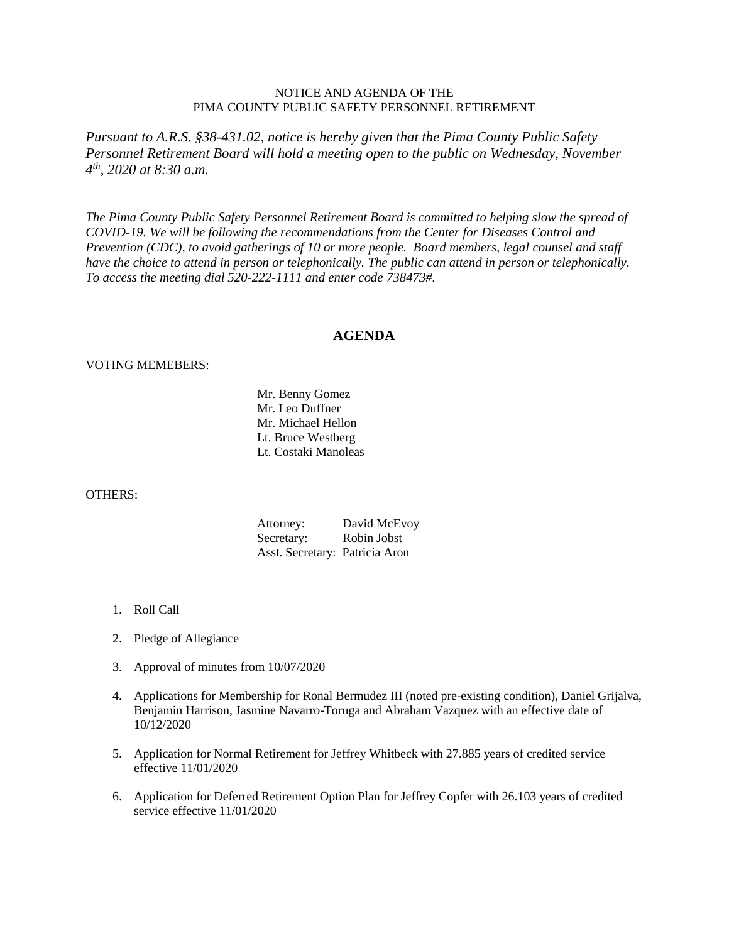## NOTICE AND AGENDA OF THE PIMA COUNTY PUBLIC SAFETY PERSONNEL RETIREMENT

*Pursuant to A.R.S. §38-431.02, notice is hereby given that the Pima County Public Safety Personnel Retirement Board will hold a meeting open to the public on Wednesday, November 4th, 2020 at 8:30 a.m.*

*The Pima County Public Safety Personnel Retirement Board is committed to helping slow the spread of COVID-19. We will be following the recommendations from the Center for Diseases Control and Prevention (CDC), to avoid gatherings of 10 or more people. Board members, legal counsel and staff have the choice to attend in person or telephonically. The public can attend in person or telephonically. To access the meeting dial 520-222-1111 and enter code 738473#.*

## **AGENDA**

## VOTING MEMEBERS:

Mr. Benny Gomez Mr. Leo Duffner Mr. Michael Hellon Lt. Bruce Westberg Lt. Costaki Manoleas

## OTHERS:

| Attorney:                      | David McEvoy |
|--------------------------------|--------------|
| Secretary:                     | Robin Jobst  |
| Asst. Secretary: Patricia Aron |              |

- 1. Roll Call
- 2. Pledge of Allegiance
- 3. Approval of minutes from 10/07/2020
- 4. Applications for Membership for Ronal Bermudez III (noted pre-existing condition), Daniel Grijalva, Benjamin Harrison, Jasmine Navarro-Toruga and Abraham Vazquez with an effective date of 10/12/2020
- 5. Application for Normal Retirement for Jeffrey Whitbeck with 27.885 years of credited service effective 11/01/2020
- 6. Application for Deferred Retirement Option Plan for Jeffrey Copfer with 26.103 years of credited service effective 11/01/2020